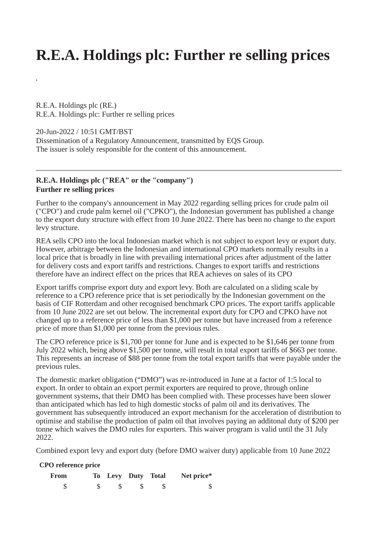## **R.E.A. Holdings plc: Further re selling prices**

R.E.A. Holdings plc (RE.) R.E.A. Holdings plc: Further re selling prices

20-Jun-2022 / 10:51 GMT/BST

**,**

Dissemination of a Regulatory Announcement, transmitted by EQS Group. The issuer is solely responsible for the content of this announcement.

## **R.E.A. Holdings plc ("REA" or the "company") Further re selling prices**

Further to the company's announcement in May 2022 regarding selling prices for crude palm oil ("CPO") and crude palm kernel oil ("CPKO"), the Indonesian government has published a change to the export duty structure with effect from 10 June 2022. There has been no change to the export levy structure.

REA sells CPO into the local Indonesian market which is not subject to export levy or export duty. However, arbitrage between the Indonesian and international CPO markets normally results in a local price that is broadly in line with prevailing international prices after adjustment of the latter for delivery costs and export tariffs and restrictions. Changes to export tariffs and restrictions therefore have an indirect effect on the prices that REA achieves on sales of its CPO

Export tariffs comprise export duty and export levy. Both are calculated on a sliding scale by reference to a CPO reference price that is set periodically by the Indonesian government on the basis of CIF Rotterdam and other recognised benchmark CPO prices. The export tariffs applicable from 10 June 2022 are set out below. The incremental export duty for CPO and CPKO have not changed up to a reference price of less than \$1,000 per tonne but have increased from a reference price of more than \$1,000 per tonne from the previous rules.

The CPO reference price is \$1,700 per tonne for June and is expected to be \$1,646 per tonne from July 2022 which, being above \$1,500 per tonne, will result in total export tariffs of \$663 per tonne. This represents an increase of \$88 per tonne from the total export tariffs that were payable under the previous rules.

The domestic market obligation ("DMO") was re-introduced in June at a factor of 1:5 local to export. In order to obtain an export permit exporters are required to prove, through online government systems, that their DMO has been complied with. These processes have been slower than anticipated which has led to high domestic stocks of palm oil and its derivatives. The government has subsequently introduced an export mechanism for the acceleration of distribution to optimise and stabilise the production of palm oil that involves paying an additonal duty of \$200 per tonne which waives the DMO rules for exporters. This waiver program is valid until the 31 July 2022.

Combined export levy and export duty (before DMO waiver duty) applicable from 10 June 2022

## **CPO reference price**

| From |  | To Levy Duty Total | Net price* |
|------|--|--------------------|------------|
|      |  |                    |            |